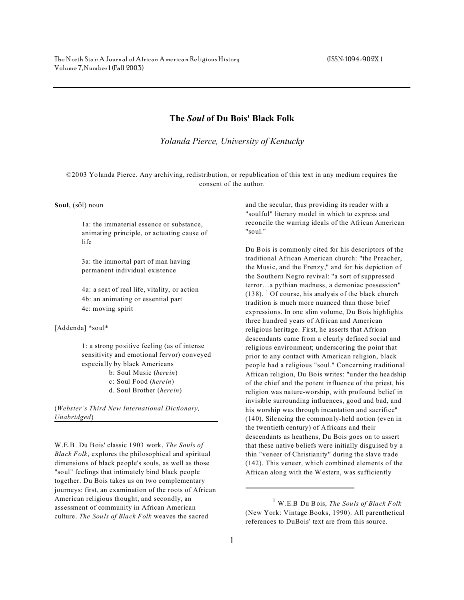## **The** *Soul* **of Du Bois' Black Folk**

*Yolanda Pierce, University of Kentucky*

©2003 Yolanda Pierce. Any archiving, redistribution, or republication of this text in any medium requires the consent of the author.

Soul, (sol) noun

1a: the immaterial essence or substance, animating principle, or actuating cause of life

3a: the immortal part of man having permanent individual existence

4a: a seat of real life, vitality, or action 4b: an animating or essential part 4c: moving spirit

[Addenda] \*soul\*

1: a strong positive feeling (as of intense sensitivity and emotional fervor) conveyed especially by black Americans b: Soul Music (*herein*) c: Soul Food (*herein*) d. Soul Brother (*herein*)

(*Webster's Third New International Dictionary, Unabridged*)

W.E.B. Du Bois' classic 1903 work, *The Souls of Black Folk*, explores the philosophical and spiritual dimensions of black people's souls, as well as those "soul" feelings that intimately bind black people together. Du Bois takes us on two complementary journeys: first, an examination of the roots of African American religious thought, and secondly, an assessment of community in African American culture. *The Souls of Black Folk* weaves the sacred

and the secular, thus providing its reader with a "soulful" literary model in which to express and reconcile the warring ideals of the African American "soul."

Du Bois is commonly cited for his descriptors of the traditional African American church: "the Preacher, the Music, and the Frenzy," and for his depiction of the Southern Negro revival: "a sort of suppressed terror…a pythian madness, a demoniac possession"  $(138)$ . <sup>1</sup> Of course, his analysis of the black church tradition is much more nuanced than those brief expressions. In one slim volume, Du Bois highlights three hundred years of African and American religious heritage. First, he asserts that African descendants came from a clearly defined social and religious environment; underscoring the point that prior to any contact with American religion, black people had a religious "soul." Concerning traditional African religion, Du Bois writes: "under the headship of the chief and the potent influence of the priest, his religion was nature-worship, with profound belief in invisible surrounding influences, good and bad, and his worship was through incantation and sacrifice" (140). Silencing the commonly-held notion (even in the twentieth century) of Africans and their descendants as heathens, Du Bois goes on to assert that these native beliefs were initially disguised by a thin "veneer of Christianity" during the slave trade (142). This veneer, which combined elements of the African along with the W estern, was sufficiently

<sup>1</sup> W.E.B Du Bois, *The Souls of Black Folk* (New York: Vintage Books, 1990). All parenthetical references to DuBois' text are from this source.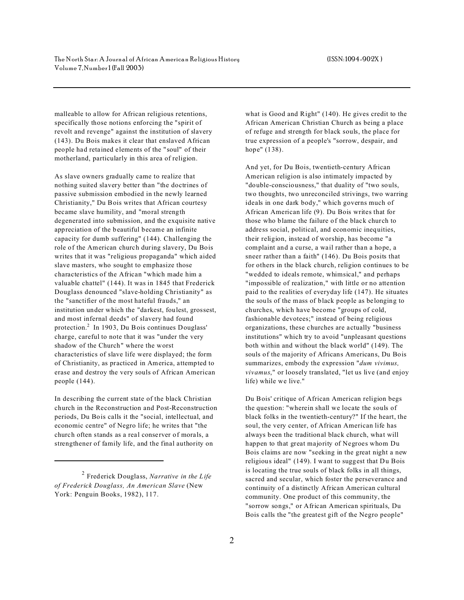malleable to allow for African religious retentions, specifically those notions enforcing the "spirit of revolt and revenge" against the institution of slavery (143). Du Bois makes it clear that enslaved African people had retained elements of the " soul" of their motherland, particularly in this area of religion.

As slave owners gradually came to realize that nothing suited slavery better than "the doctrines of passive submission embodied in the newly learned Christianity," Du Bois writes that African courtesy became slave humility, and "moral strength degenerated into submission, and the exquisite native appreciation of the beautiful became an infinite capacity for dumb suffering" (144). Challenging the role of the American church during slavery, Du Bois writes that it was "religious propaganda" which aided slave masters, who sought to emphasize those characteristics of the African "which made him a valuable chattel" (144). It was in 1845 that Frederick Douglass denounced "slave-holding Christianity" as the "sanctifier of the most hateful frauds," an institution under which the "darkest, foulest, grossest, and most infernal deeds" of slavery had found protection.<sup>2</sup> In 1903, Du Bois continues Douglass' charge, careful to note that it was "under the very shadow of the Church" where the worst characteristics of slave life were displayed; the form of Christianity, as practiced in America, attempted to erase and destroy the very souls of African American people (144).

In describing the current state of the black Christian church in the Reconstruction and Post-Reconstruction periods, Du Bois calls it the "social, intellectual, and economic centre" of Negro life; he writes that "the church often stands as a real conserver of morals, a strengthener of family life, and the final authority on

what is Good and Right" (140). He gives credit to the African American Christian Church as being a place of refuge and strength for black souls, the place for true expression of a people's "sorrow, despair, and hope" (138).

And yet, for Du Bois, twentieth-century African American religion is also intimately impacted by "double-consciousness," that duality of "two souls, two thoughts, two unreconciled strivings, two warring ideals in one dark body," which governs much of African American life (9). Du Bois writes that for those who blame the failure of the black church to address social, political, and economic inequities, their religion, instead of worship, has become "a complaint and a curse, a wail rather than a hope, a sneer rather than a faith" (146). Du Bois posits that for others in the black church, religion continues to be "wedded to ideals remote, whimsical," and perhaps "impossible of realization," with little or no attention paid to the realities of everyday life (147). He situates the souls of the mass of black people as belonging to churches, which have become "groups of cold, fashionable devotees;" instead of being religious organizations, these churches are actually "business institutions" which try to avoid "unpleasant questions both within and without the black world" (149). The souls of the majority of Africans Americans, Du Bois summarizes, embody the expression "*dum vivimus, vivamus*," or loosely translated, "let us live (and enjoy life) while we live."

Du Bois' critique of African American religion begs the question: "wherein shall we locate the souls of black folks in the twentieth-century?" If the heart, the soul, the very center, of African American life has always been the traditional black church, what will happen to that great majority of Negroes whom Du Bois claims are now "seeking in the great night a new religious ideal" (149). I want to suggest that Du Bois is locating the true souls of black folks in all things, sacred and secular, which foster the perseverance and continuity of a distinctly African American cultural community. One product of this community, the "sorrow songs," or African American spirituals, Du Bois calls the "the greatest gift of the Negro people"

<sup>2</sup> Frederick Douglass, *Narrative in the Life of Frederick Douglass, An American Slave* (New York: Penguin Books, 1982), 117.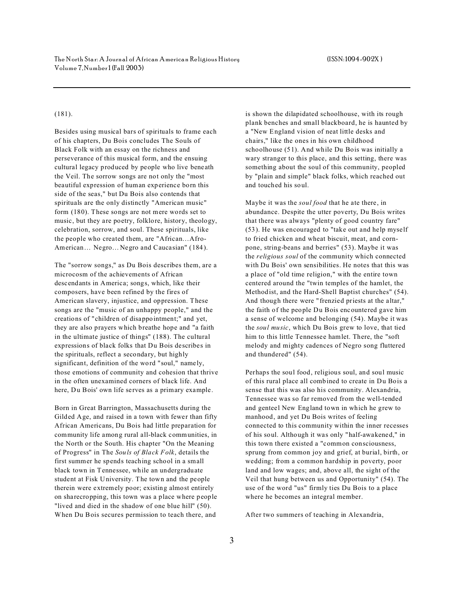## (181).

Besides using musical bars of spirituals to frame each of his chapters, Du Bois concludes The Souls of Black Folk with an essay on the richness and perseverance of this musical form, and the ensuing cultural legacy produced by people who live beneath the Veil. The sorrow songs are not only the "most beautiful expression of human experience born this side of the seas," but Du Bois also contends that spirituals are the only distinctly "American music" form (180). These songs are not mere words set to music, but they are poetry, folklore, history, theology, celebration, sorrow, and soul. These spirituals, like the people who created them, are "African…Afro-American... Negro... Negro and Caucasian" (184).

The "sorrow songs," as Du Bois describes them, are a microcosm of the achievements of African descendants in America; songs, which, like their composers, have been refined by the fires of American slavery, injustice, and oppression. These songs are the "music of an unhappy people," and the creations of "children of disappointment;" and yet, they are also prayers which breathe hope and "a faith in the ultimate justice of things" (188). The cultural expressions of black folks that Du Bois describes in the spirituals, reflect a secondary, but highly significant, definition of the word "soul," namely, those emotions of community and cohesion that thrive in the often unexamined corners of black life. And here, Du Bois' own life serves as a primary example.

Born in Great Barrington, Massachusetts during the Gilded Age, and raised in a town with fewer than fifty African Americans, Du Bois had little preparation for community life among rural all-black communities, in the North or the South. His chapter "On the Meaning of Progress" in The *Souls of Black Folk*, details the first summer he spends teaching school in a small black town in Tennessee, while an undergraduate student at Fisk University. The town and the people therein were extremely poor; existing almost entirely on sharecropping, this town was a place where people "lived and died in the shadow of one blue hill" (50). When Du Bois secures permission to teach there, and

is shown the dilapidated schoolhouse, with its rough plank benches and small blackboard, he is haunted by a "New England vision of neat little desks and chairs," like the ones in his own childhood schoolhouse (51). And while Du Bois was initially a wary stranger to this place, and this setting, there was something about the soul of this community, peopled by "plain and simple" black folks, which reached out and touched his soul.

Maybe it was the *soul food* that he ate there, in abundance. Despite the utter poverty, Du Bois writes that there was always "plenty of good country fare" (53). He was encouraged to "take out and help myself to fried chicken and wheat biscuit, meat, and cornpone, string-beans and berries" (53). Maybe it was the *religious soul* of the community which connected with Du Bois' own sensibilities. He notes that this was a place of "old time religion," with the entire town centered around the "twin temples of the hamlet, the Methodist, and the Hard-Shell Baptist churches" (54). And though there were " frenzied priests at the altar," the faith of the people Du Bois encountered gave him a sense of welcome and belonging (54). Maybe it was the *soul music*, which Du Bois grew to love, that tied him to this little Tennessee hamlet. There, the "soft melody and mighty cadences of Negro song fluttered and thundered" (54).

Perhaps the soul food, religious soul, and soul music of this rural place all combined to create in Du Bois a sense that this was also his community. Alexandria, Tennessee was so far removed from the well-tended and genteel New England town in which he grew to manhood, and yet Du Bois writes of feeling connected to this community within the inner recesses of his soul. Although it was only "half-awakened," in this town there existed a "common consciousness, sprung from common joy and grief, at burial, birth, or wedding; from a common hardship in poverty, poor land and low wages; and, above all, the sight of the Veil that hung between us and Opportunity" (54). The use of the word "us" firmly ties Du Bois to a place where he becomes an integral member.

After two summers of teaching in Alexandria,